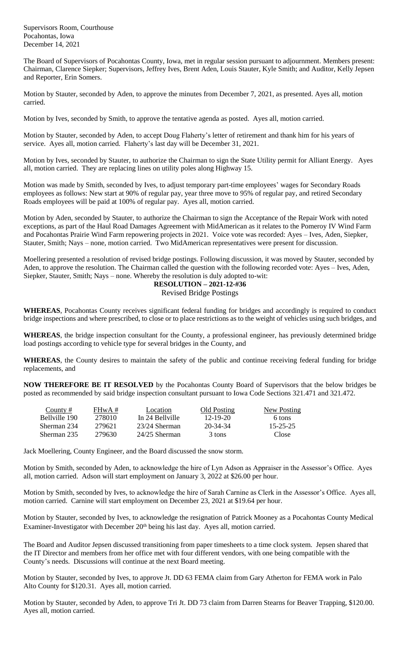Supervisors Room, Courthouse Pocahontas, Iowa December 14, 2021

The Board of Supervisors of Pocahontas County, Iowa, met in regular session pursuant to adjournment. Members present: Chairman, Clarence Siepker; Supervisors, Jeffrey Ives, Brent Aden, Louis Stauter, Kyle Smith; and Auditor, Kelly Jepsen and Reporter, Erin Somers.

Motion by Stauter, seconded by Aden, to approve the minutes from December 7, 2021, as presented. Ayes all, motion carried.

Motion by Ives, seconded by Smith, to approve the tentative agenda as posted. Ayes all, motion carried.

Motion by Stauter, seconded by Aden, to accept Doug Flaherty's letter of retirement and thank him for his years of service. Ayes all, motion carried. Flaherty's last day will be December 31, 2021.

Motion by Ives, seconded by Stauter, to authorize the Chairman to sign the State Utility permit for Alliant Energy. Ayes all, motion carried. They are replacing lines on utility poles along Highway 15.

Motion was made by Smith, seconded by Ives, to adjust temporary part-time employees' wages for Secondary Roads employees as follows: New start at 90% of regular pay, year three move to 95% of regular pay, and retired Secondary Roads employees will be paid at 100% of regular pay. Ayes all, motion carried.

Motion by Aden, seconded by Stauter, to authorize the Chairman to sign the Acceptance of the Repair Work with noted exceptions, as part of the Haul Road Damages Agreement with MidAmerican as it relates to the Pomeroy IV Wind Farm and Pocahontas Prairie Wind Farm repowering projects in 2021. Voice vote was recorded: Ayes – Ives, Aden, Siepker, Stauter, Smith; Nays – none, motion carried. Two MidAmerican representatives were present for discussion.

Moellering presented a resolution of revised bridge postings. Following discussion, it was moved by Stauter, seconded by Aden, to approve the resolution. The Chairman called the question with the following recorded vote: Ayes – Ives, Aden, Siepker, Stauter, Smith; Nays – none. Whereby the resolution is duly adopted to-wit:

## **RESOLUTION – 2021-12-#36**

## Revised Bridge Postings

**WHEREAS**, Pocahontas County receives significant federal funding for bridges and accordingly is required to conduct bridge inspections and where prescribed, to close or to place restrictions as to the weight of vehicles using such bridges, and

**WHEREAS**, the bridge inspection consultant for the County, a professional engineer, has previously determined bridge load postings according to vehicle type for several bridges in the County, and

**WHEREAS**, the County desires to maintain the safety of the public and continue receiving federal funding for bridge replacements, and

**NOW THEREFORE BE IT RESOLVED** by the Pocahontas County Board of Supervisors that the below bridges be posted as recommended by said bridge inspection consultant pursuant to Iowa Code Sections 321.471 and 321.472.

| County #      | $FHwA \#$ | Location        | Old Posting | New Posting    |
|---------------|-----------|-----------------|-------------|----------------|
| Bellyille 190 | 278010    | In 24 Bellyille | 12-19-20    | 6 tons         |
| Sherman 234   | 279621    | 23/24 Sherman   | 20-34-34    | $15 - 25 - 25$ |
| Sherman 235   | 279630    | $24/25$ Sherman | 3 tons      | Close          |

Jack Moellering, County Engineer, and the Board discussed the snow storm.

Motion by Smith, seconded by Aden, to acknowledge the hire of Lyn Adson as Appraiser in the Assessor's Office. Ayes all, motion carried. Adson will start employment on January 3, 2022 at \$26.00 per hour.

Motion by Smith, seconded by Ives, to acknowledge the hire of Sarah Carnine as Clerk in the Assessor's Office. Ayes all, motion carried. Carnine will start employment on December 23, 2021 at \$19.64 per hour.

Motion by Stauter, seconded by Ives, to acknowledge the resignation of Patrick Mooney as a Pocahontas County Medical Examiner-Investigator with December  $20<sup>th</sup>$  being his last day. Ayes all, motion carried.

The Board and Auditor Jepsen discussed transitioning from paper timesheets to a time clock system. Jepsen shared that the IT Director and members from her office met with four different vendors, with one being compatible with the County's needs. Discussions will continue at the next Board meeting.

Motion by Stauter, seconded by Ives, to approve Jt. DD 63 FEMA claim from Gary Atherton for FEMA work in Palo Alto County for \$120.31. Ayes all, motion carried.

Motion by Stauter, seconded by Aden, to approve Tri Jt. DD 73 claim from Darren Stearns for Beaver Trapping, \$120.00. Ayes all, motion carried.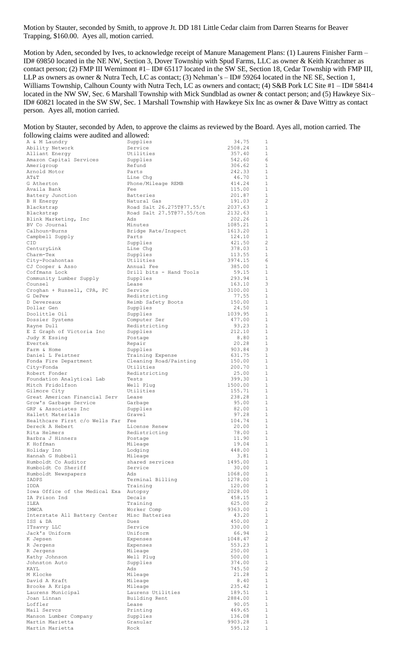Motion by Stauter, seconded by Smith, to approve Jt. DD 181 Little Cedar claim from Darren Stearns for Beaver Trapping, \$160.00. Ayes all, motion carried.

Motion by Aden, seconded by Ives, to acknowledge receipt of Manure Management Plans: (1) Laurens Finisher Farm – ID# 69850 located in the NE NW, Section 3, Dover Township with Spud Farms, LLC as owner & Keith Kratchmer as contact person; (2) FMP III Wernimont #1- ID# 65117 located in the SW SE, Section 18, Cedar Township with FMP III, LLP as owners as owner & Nutra Tech, LC as contact; (3) Nehman's – ID# 59264 located in the NE SE, Section 1, Williams Township, Calhoun County with Nutra Tech, LC as owners and contact; (4) S&B Pork LC Site #1 – ID# 58414 located in the NW SW, Sec. 6 Marshall Township with Mick Sundblad as owner & contact person; and (5) Hawkeye Six– ID# 60821 located in the SW SW, Sec. 1 Marshall Township with Hawkeye Six Inc as owner & Dave Wittry as contact person. Ayes all, motion carried.

| Motion by Stauter, seconded by Aden, to approve the claims as reviewed by the Board. Ayes all, motion carried. The |  |  |  |  |
|--------------------------------------------------------------------------------------------------------------------|--|--|--|--|
| following claims were audited and allowed:                                                                         |  |  |  |  |

| A & M Laundry                            | Supplies                            | 34.75             | 1                            |
|------------------------------------------|-------------------------------------|-------------------|------------------------------|
| Ability Network                          | Service                             | 2508.24           | $\mathbf{1}$                 |
| Alliant Energy                           | Utilities                           | 357.40            | $\mathbf{1}$                 |
| Amazon Capital Services                  | Supplies                            | 542.60            | 6                            |
| Amerigroup                               | Refund                              | 306.62            | $\mathbf{1}$                 |
| Arnold Motor<br>AΤ&Τ                     | Parts                               | 242.33<br>46.70   | $\mathbf{1}$<br>$\mathbf{1}$ |
| G Atherton                               | Line Chg<br>Phone/Mileage REMB      | 414.24            | $\mathbf{1}$                 |
| Availa Bank                              | Fee                                 | 115.00            | $\mathbf{1}$                 |
| Battery Junction                         | <b>Batteries</b>                    | 201.87            | $\mathbf{1}$                 |
| B H Energy                               | Natural Gas                         | 191.03            | 2                            |
| Blackstrap                               | Road Salt 26.275T077.55/t           | 2037.63           | $\mathbf{1}$                 |
| Blackstrap                               | Road Salt 27.5T@77.55/ton           | 2132.63           | $\mathbf{1}$                 |
| Blink Marketing, Inc                     | Ads                                 | 202.26            | $\mathbf{1}$                 |
| BV Co Journal                            | Minutes                             | 1085.21           | $\mathbf{1}$                 |
| Calhoun-Burns                            | Bridge Rate/Inspect                 | 1613.20           | $\mathbf{1}$                 |
| Campbell Supply                          | Parts                               | 124.10            | $\mathbf{1}$<br>2            |
| CID<br>CenturyLink                       | Supplies<br>Line Chg                | 421.50<br>378.03  | $\mathbf{1}$                 |
| Charm-Tex                                | Supplies                            | 113.55            | $\mathbf{1}$                 |
| City-Pocahontas                          | Utilities                           | 3974.15           | 6                            |
| CJ Cooper & Asso                         | Annual Fee                          | 385.00            | $\mathbf{1}$                 |
| Coffmans Lock                            | Drill bits - Hand Tools             | 59.15             | $\mathbf{1}$                 |
| Community Lumber Supply                  | Supplies                            | 293.94            | $\mathbf{1}$                 |
| Counsel                                  | Lease                               | 163.10            | 3                            |
| Croghan + Russell, CPA, PC               | Service                             | 3100.00           | $\mathbf{1}$                 |
| G DePew                                  | Redistricting                       | 77.55             | $\mathbf{1}$                 |
| D Devereaux<br>Dollar Gen                | Reimb Safety Boots<br>Supplies      | 150.00<br>24.50   | $\mathbf{1}$<br>$\mathbf{1}$ |
| Doolittle Oil                            | Supplies                            | 1039.95           | $\mathbf{1}$                 |
| Dossier Systems                          | Computer Ser                        | 477.00            | $\mathbf{1}$                 |
| Rayne Dull                               | Redistricting                       | 93.23             | $\mathbf{1}$                 |
| E Z Graph of Victoria Inc                | Supplies                            | 212.10            | $\mathbf{1}$                 |
| Judy K Essing                            | Postage                             | 8.80              | $\mathbf{1}$                 |
| Evertek                                  | Repair                              | 20.28             | $\mathbf{1}$                 |
| Farm & Home                              | Supplies                            | 903.84            | 3                            |
| Daniel L Feistner                        | Training Expense                    | 631.75            | $\mathbf{1}$                 |
| Fonda Fire Department                    | Cleaning Road/Painting<br>Utilities | 150.00            | $\mathbf{1}$<br>$\mathbf{1}$ |
| City-Fonda<br>Robert Fonder              | Redistricting                       | 200.70<br>25.00   | $\mathbf{1}$                 |
| Foundation Analytical Lab                | Tests                               | 399.30            | $\mathbf{1}$                 |
| Mitch Fridolfson                         | Well Plug                           | 1500.00           | $\mathbf{1}$                 |
| Gilmore City                             | Utilities                           | 155.71            | $\mathbf{1}$                 |
| Great American Financial Serv            | Lease                               | 238.28            | 1                            |
| Grow's Garbage Service                   | Garbage                             | 95.00             | 1                            |
| GRP & Associates Inc                     | Supplies                            |                   |                              |
|                                          |                                     | 82.00             | $\mathbf{1}$                 |
| Hallett Materials                        | Gravel                              | 97.28             | $\mathbf{1}$                 |
| Healthcare First c/o Wells Far           | Fee                                 | 104.74            | $\mathbf{1}$                 |
| Dereck A Hebert                          | License Renew                       | 20.00             | $\mathbf{1}$                 |
| Rita Helmers                             | Redistricting                       | 78.00             | $\mathbf{1}$                 |
| Barbra J Hinners                         | Postage                             | 11.90             | $\mathbf{1}$<br>$\mathbf{1}$ |
| K Hoffman<br>Holiday Inn                 | Mileage<br>Lodging                  | 19.04<br>448.00   | $\mathbf{1}$                 |
| Hannah G Hubbell                         | Mileage                             | 3.81              | $\mathbf{1}$                 |
| Humboldt Co Auditor                      | shared services                     | 1495.00           | $\mathbf{1}$                 |
| Humboldt Co Sheriff                      | Service                             | 30.00             | $\mathbf{1}$                 |
| Humboldt Newspapers                      | Ads                                 | 1068.00           | $\mathbf{1}$                 |
| IADPS                                    | Terminal Billing                    | 1278.00           | $\mathbf{1}$                 |
| IDDA                                     | Training                            | 120.00            | $\mathbf{1}$                 |
| Iowa Office of the Medical Exa           | Autopsy                             | 2028.00           | $\mathbf{1}$                 |
| IA Prison Ind                            | Decals                              | 458.15            | $\mathbf{1}$                 |
| ILEA<br>IMWCA                            | Training                            | 625.00<br>9363.00 | $\mathbf{2}$<br>$\mathbf{1}$ |
| Interstate All Battery Center            | Worker Comp<br>Misc Batteries       | 43.20             | $\mathbf{1}$                 |
| ISS & DA                                 | Dues                                | 450.00            | $\mathbf{2}$                 |
| ITsavvy LLC                              | Service                             | 330.00            | $\mathbf{1}$                 |
| Jack's Uniform                           | Uniform                             | 66.94             | $\mathbf{1}$                 |
| K Jepsen                                 | Expenses                            | 1048.47           | $\mathbf{2}$                 |
| R Jergens                                | Expenses                            | 553.23            | $\mathbf{1}$                 |
| R Jergens                                | Mileage                             | 250.00            | $\mathbf{1}$                 |
| Kathy Johnson                            | Well Plug                           | 500.00            | $\mathbf{1}$                 |
| Johnston Auto<br>KAYL                    | Supplies<br>Ads                     | 374.00<br>745.50  | $\mathbf{1}$<br>$\mathbf{2}$ |
| M Klocke                                 | Mileage                             | 21.28             | $\mathbf{1}$                 |
| David A Kraft                            | Mileage                             | 8.40              | $\mathbf{1}$                 |
| Brooke A Krips                           | Mileage                             | 235.42            | $\mathbf{1}$                 |
| Laurens Municipal                        | Laurens Utilities                   | 189.51            | $\mathbf{1}$                 |
| Joan Linnan                              | Building Rent                       | 2884.00           | $\mathbf{1}$                 |
| Loffler                                  | Lease                               | 90.05             | $\mathbf{1}$                 |
| Mail Servcs                              | Printing                            | 469.65            | $\mathbf{1}$                 |
| Manson Lumber Company<br>Martin Marietta | Supplies<br>Granular                | 136.08<br>9903.28 | $\mathbf{1}$<br>$\mathbf{1}$ |